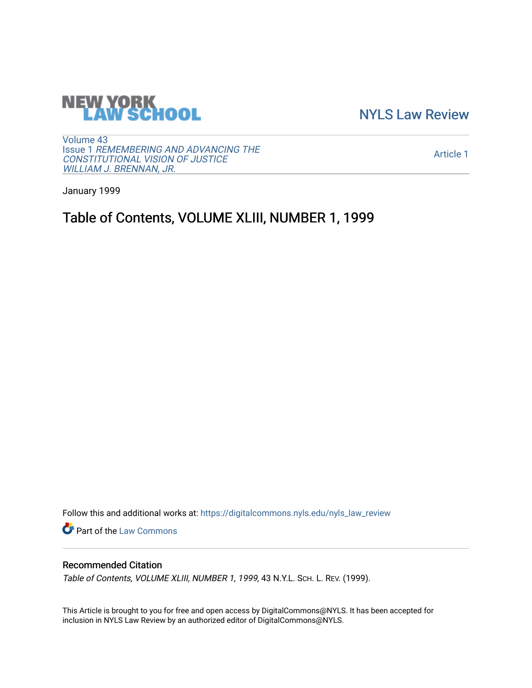

[NYLS Law Review](https://digitalcommons.nyls.edu/nyls_law_review) 

[Volume 43](https://digitalcommons.nyls.edu/nyls_law_review/vol43) Issue 1 [REMEMBERING AND ADVANCING THE](https://digitalcommons.nyls.edu/nyls_law_review/vol43/iss1)  [CONSTITUTIONAL VISION OF JUSTICE](https://digitalcommons.nyls.edu/nyls_law_review/vol43/iss1)  [WILLIAM J. BRENNAN, JR.](https://digitalcommons.nyls.edu/nyls_law_review/vol43/iss1)

[Article 1](https://digitalcommons.nyls.edu/nyls_law_review/vol43/iss1/1) 

January 1999

# Table of Contents, VOLUME XLIII, NUMBER 1, 1999

Follow this and additional works at: [https://digitalcommons.nyls.edu/nyls\\_law\\_review](https://digitalcommons.nyls.edu/nyls_law_review?utm_source=digitalcommons.nyls.edu%2Fnyls_law_review%2Fvol43%2Fiss1%2F1&utm_medium=PDF&utm_campaign=PDFCoverPages) 

Part of the [Law Commons](https://network.bepress.com/hgg/discipline/578?utm_source=digitalcommons.nyls.edu%2Fnyls_law_review%2Fvol43%2Fiss1%2F1&utm_medium=PDF&utm_campaign=PDFCoverPages)

# Recommended Citation

Table of Contents, VOLUME XLIII, NUMBER 1, 1999, 43 N.Y.L. SCH. L. REV. (1999).

This Article is brought to you for free and open access by DigitalCommons@NYLS. It has been accepted for inclusion in NYLS Law Review by an authorized editor of DigitalCommons@NYLS.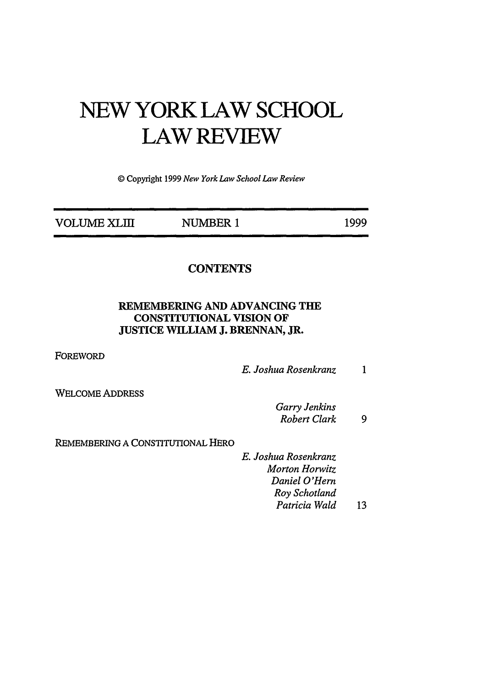# **NEW YORK LAW SCHOOL LAW REVIEW**

© Copyright 1999 *New York Law School Law Review*

| <b>VOLUME XLIII</b> | NUMBER 1 | 1999 |
|---------------------|----------|------|
|                     |          |      |

## **CONTENTS**

### REMEMBERING **AND ADVANCING** THE CONSTITUTIONAL VISION OF JUSTICE WILLIAM J. BRENNAN, JR.

FOREWORD

*E. Joshua Rosenkranz*  $\mathbf{1}$ 

WELCOME ADDRESS

*Garry Jenkins Robert Clark 9*

REMEMBERING A CONSTITUTIONAL HERO

*E. Joshua Rosenkranz Morton Horwitz Daniel O'Hem Roy Schotland Patricia Wald* 13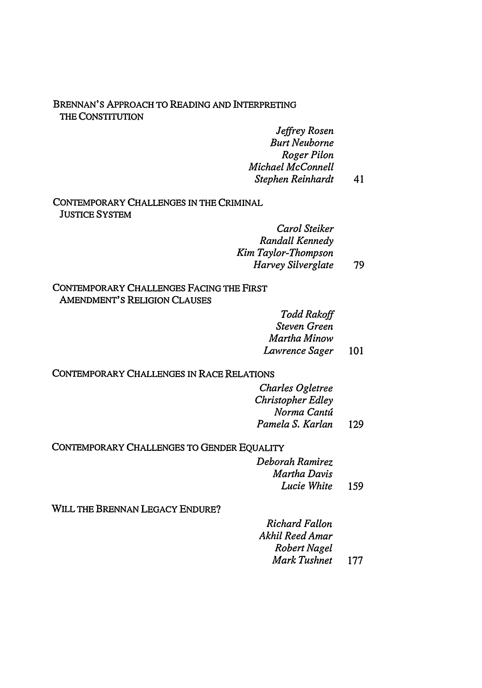#### BRENNAN'S APPROACH TO READING AND INTERPRETING THE CONSTITUTION

*Jeffrey Rosen Burt Neuborne Roger Pilon Michael McConnell Stephen Reinhardt* 41

#### CONTEMPORARY CHALLENGES IN THE CRIMINAL JUSTICE SYSTEM

| Carol Steiker       |    |
|---------------------|----|
| Randall Kennedy     |    |
| Kim Taylor-Thompson |    |
| Harvey Silverglate  | 79 |

#### CONTEMPORARY CHALLENGES FACING THE FIRST AMENDMENT'S RELIGION CLAUSES

*Todd Rakoff Steven Green Martha Minow Lawrence Sager* 101

#### CONTEMPORARY CHALLENGES IN RACE RELATIONS

*Charles Ogletree Christopher Edley Norma Canta Pamela S. Karlan* 129

CONTEMPORARY CHALLENGES TO GENDER EQUALITY

*Deborah Ramirez Martha Davis Lucie White* <sup>159</sup>

WILL THE BRENNAN LEGACY ENDURE?

*Richard Fallon Akhil Reed Amar Robert Nagel Mark Tushnet* 177